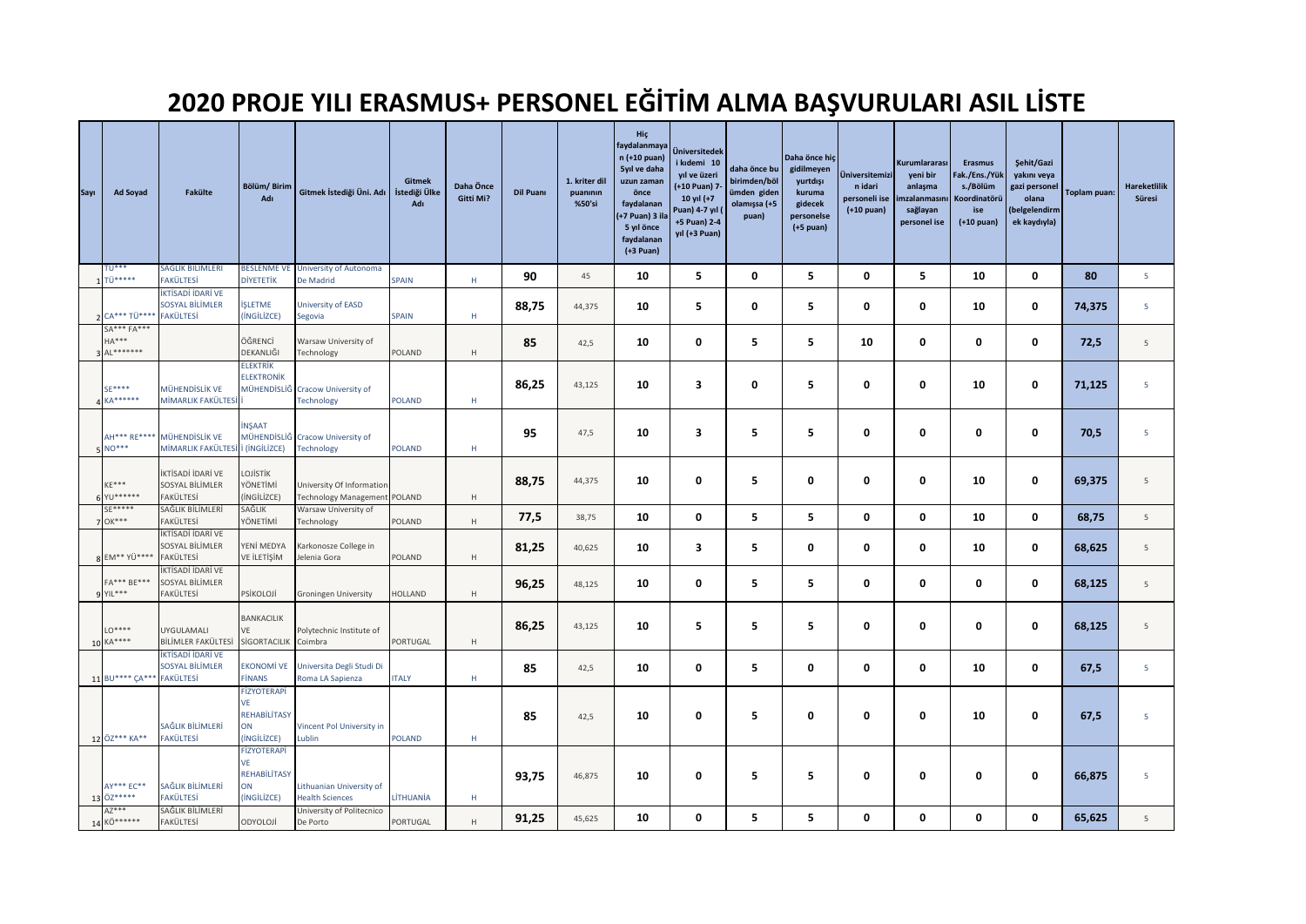## **2020 PROJE YILI ERASMUS+ PERSONEL EĞİTİM ALMA BAŞVURULARI ASIL LİSTE**

| Sayı | Ad Soyad                              | Fakülte                                                        | Bölüm/Birim<br>Adı                                                          | Gitmek İstediği Üni. Adı İstediği Ülke                    | <b>Gitmek</b><br>Adı | Daha Önce<br>Gitti Mi? | Dil Puanı | 1. kriter dil<br>puaninin<br>%50'si | Hiç<br>faydalanmaya<br>n (+10 puan)<br>5yıl ve daha<br>uzun zaman<br>önce<br>faydalanan<br>(+7 Puan) 3 il<br>5 yıl önce<br>faydalanan<br>$(+3$ Puan) | Üniversitedek<br>i kıdemi 10<br>yıl ve üzeri<br>(+10 Puan) 7-<br>10 yıl (+7<br>Puan) 4-7 yıl (<br>+5 Puan) 2-4<br>yıl (+3 Puan) | daha önce bu<br>birimden/böl<br>ümden giden<br>olamışsa (+5<br>puan) | Daha önce hiç<br>gidilmeyen<br>yurtdışı<br>kuruma<br>gidecek<br>personelse<br>$(+5$ puan) | <b>Üniversitemizi</b><br>n idari<br>personeli ise<br>$(+10$ puan) | Kurumlararası<br>yeni bir<br>anlaşma<br>nzalanmasını<br>sağlayan<br>personel ise | <b>Erasmus</b><br>Fak./Ens./Yük<br>s./Bölüm<br>Koordinatörü<br>ise<br>$(+10 \text{ puan})$ | Şehit/Gazi<br>yakını veya<br>gazi personel<br>olana<br>(belgelendirm<br>ek kaydıyla) | Toplam puan: | <b>Hareketlilik</b><br>Süresi |
|------|---------------------------------------|----------------------------------------------------------------|-----------------------------------------------------------------------------|-----------------------------------------------------------|----------------------|------------------------|-----------|-------------------------------------|------------------------------------------------------------------------------------------------------------------------------------------------------|---------------------------------------------------------------------------------------------------------------------------------|----------------------------------------------------------------------|-------------------------------------------------------------------------------------------|-------------------------------------------------------------------|----------------------------------------------------------------------------------|--------------------------------------------------------------------------------------------|--------------------------------------------------------------------------------------|--------------|-------------------------------|
|      | <b>TU***</b><br>1 TÜ*****             | SAĞLIK BİLİMLERİ<br>FAKÜLTESİ                                  | <b>BESLENME VE</b><br><b>DİYETETİK</b>                                      | University of Autonoma<br>De Madrid                       | <b>SPAIN</b>         | н.                     | 90        | 45                                  | 10                                                                                                                                                   | 5                                                                                                                               | 0                                                                    | 5                                                                                         | 0                                                                 | 5                                                                                | 10                                                                                         | 0                                                                                    | 80           | 5                             |
|      | 2 CA*** TÜ****                        | İKTİSADİ İDARİ VE<br>SOSYAL BİLİMLER<br><b>FAKÜLTESİ</b>       | <b>İŞLETME</b><br>(INGILIZCE)                                               | University of EASD<br>Segovia                             | SPAIN                | Н.                     | 88,75     | 44,375                              | 10                                                                                                                                                   | 5                                                                                                                               | 0                                                                    | 5                                                                                         | 0                                                                 | 0                                                                                | 10                                                                                         | 0                                                                                    | 74,375       | 5                             |
|      | SA*** FA***<br>$HA***$<br>3 AL******* |                                                                | ÖĞRENCİ<br>DEKANLIĞI                                                        | Warsaw University of<br>Technology                        | POLAND               | H                      | 85        | 42,5                                | 10                                                                                                                                                   | 0                                                                                                                               | 5                                                                    | 5                                                                                         | 10                                                                | 0                                                                                | 0                                                                                          | 0                                                                                    | 72,5         | $\overline{5}$                |
|      | SE****<br>4 KA******                  | MÜHENDİSLİK VE<br>MİMARLIK FAKÜLTESİ                           | <b>ELEKTRİK</b><br><b>ELEKTRONİK</b>                                        | MÜHENDİSLİĞ Cracow University of<br><b>Technology</b>     | <b>POLAND</b>        | Н.                     | 86,25     | 43,125                              | 10                                                                                                                                                   | 3                                                                                                                               | 0                                                                    | 5                                                                                         | 0                                                                 | 0                                                                                | 10                                                                                         | 0                                                                                    | 71,125       | 5                             |
|      | AH*** RE****<br>$5^{\text{NO}***}$    | MÜHENDİSLİK VE<br>MİMARLIK FAKÜLTESİ İ (İNGİLİZCE)             | <b>İNŞAAT</b>                                                               | MÜHENDİSLİĞ Cracow University of<br>Technology            | <b>POLAND</b>        | H                      | 95        | 47,5                                | 10                                                                                                                                                   | 3                                                                                                                               | 5                                                                    | 5                                                                                         | 0                                                                 | 0                                                                                | 0                                                                                          | 0                                                                                    | 70,5         | 5                             |
|      | $KE***$<br>6 YU******                 | İKTİSADİ İDARİ VE<br>SOSYAL BİLİMLER<br>FAKÜLTESİ              | LOJİSTİK<br>YÖNETİMİ<br>(iNGiLiZCE)                                         | University Of Information<br>Technology Management POLAND |                      | H                      | 88,75     | 44,375                              | 10                                                                                                                                                   | 0                                                                                                                               | 5                                                                    | 0                                                                                         | 0                                                                 | 0                                                                                | 10                                                                                         | 0                                                                                    | 69,375       | 5                             |
|      | SE*****<br>7 OK***                    | SAĞLIK BİLİMLERİ<br>FAKÜLTESİ                                  | SAĞLIK<br>YÖNETİMİ                                                          | Warsaw University of<br>Technology                        | POLAND               | H                      | 77,5      | 38,75                               | 10                                                                                                                                                   | 0                                                                                                                               | 5                                                                    | 5                                                                                         | 0                                                                 | 0                                                                                | 10                                                                                         | 0                                                                                    | 68,75        | 5                             |
|      | 8 EM** YÜ****                         | İKTİSADİ İDARİ VE<br>SOSYAL BİLİMLER<br>FAKÜLTESİ              | YENİ MEDYA<br>VE İLETİŞİM                                                   | Karkonosze College in<br>Jelenia Gora                     | POLAND               | H                      | 81,25     | 40,625                              | 10                                                                                                                                                   | 3                                                                                                                               | 5                                                                    | 0                                                                                         | 0                                                                 | 0                                                                                | 10                                                                                         | 0                                                                                    | 68,625       | 5                             |
|      | FA*** BE***<br>9 YIL***               | KTİSADİ İDARİ VE<br>SOSYAL BİLİMLER<br>FAKÜLTESİ               | PSİKOLOJİ                                                                   | Groningen University                                      | HOLLAND              | H                      | 96,25     | 48,125                              | 10                                                                                                                                                   | 0                                                                                                                               | 5                                                                    | 5                                                                                         | 0                                                                 | 0                                                                                | 0                                                                                          | 0                                                                                    | 68,125       | 5                             |
|      | $LO***$<br>10 KA****                  | UYGULAMALI<br>BİLİMLER FAKÜLTESİ                               | BANKACILIK<br>VE<br>SİGORTACILIK Coimbra                                    | Polytechnic Institute of                                  | PORTUGAL             | H                      | 86,25     | 43,125                              | 10                                                                                                                                                   | 5                                                                                                                               | 5                                                                    | 5                                                                                         | 0                                                                 | 0                                                                                | 0                                                                                          | 0                                                                                    | 68,125       | 5                             |
|      | 11 BU**** CA***                       | <b>KTİSADİ İDARİ VE</b><br>SOSYAL BİLİMLER<br><b>FAKÜLTESİ</b> | <b>EKONOMİ VE</b><br><b>FİNANS</b>                                          | Universita Degli Studi Di<br>Roma LA Sapienza             | <b>ITALY</b>         | H                      | 85        | 42,5                                | 10                                                                                                                                                   | 0                                                                                                                               | 5                                                                    | 0                                                                                         | $\bf{0}$                                                          | $\bf{0}$                                                                         | 10                                                                                         | 0                                                                                    | 67,5         | $\overline{5}$                |
|      | 12 ÖZ*** KA**                         | SAĞLIK BİLİMLERİ<br><b>FAKÜLTESİ</b>                           | FİZYOTERAPİ<br>VE<br><b>REHABİLİTASY</b><br>ON<br>(INGILIZCE)               | Vincent Pol University in<br>Lublin                       | <b>POLAND</b>        | Н.                     | 85        | 42,5                                | 10                                                                                                                                                   | 0                                                                                                                               | 5                                                                    | 0                                                                                         | 0                                                                 | 0                                                                                | 10                                                                                         | 0                                                                                    | 67,5         | 5                             |
|      | AY*** EC**<br>13 ÖZ*****              | SAĞLIK BİLİMLERİ<br>FAKÜLTESİ                                  | <b>FİZYOTERAPİ</b><br><b>VE</b><br><b>REHABİLİTASY</b><br>ON<br>(INGILIZCE) | Lithuanian University of<br><b>Health Sciences</b>        | LİTHUANİA            | H                      | 93,75     | 46,875                              | 10                                                                                                                                                   | 0                                                                                                                               | 5                                                                    | 5                                                                                         | 0                                                                 | 0                                                                                | 0                                                                                          | 0                                                                                    | 66,875       | 5                             |
|      | $AZ***$<br>14 KÖ******                | SAĞLIK BİLİMLERİ<br>FAKÜLTESİ                                  | ODYOLOJİ                                                                    | University of Politecnico<br>De Porto                     | PORTUGAL             | H                      | 91,25     | 45,625                              | 10                                                                                                                                                   | 0                                                                                                                               | 5                                                                    | 5                                                                                         | 0                                                                 | 0                                                                                | 0                                                                                          | 0                                                                                    | 65,625       | 5                             |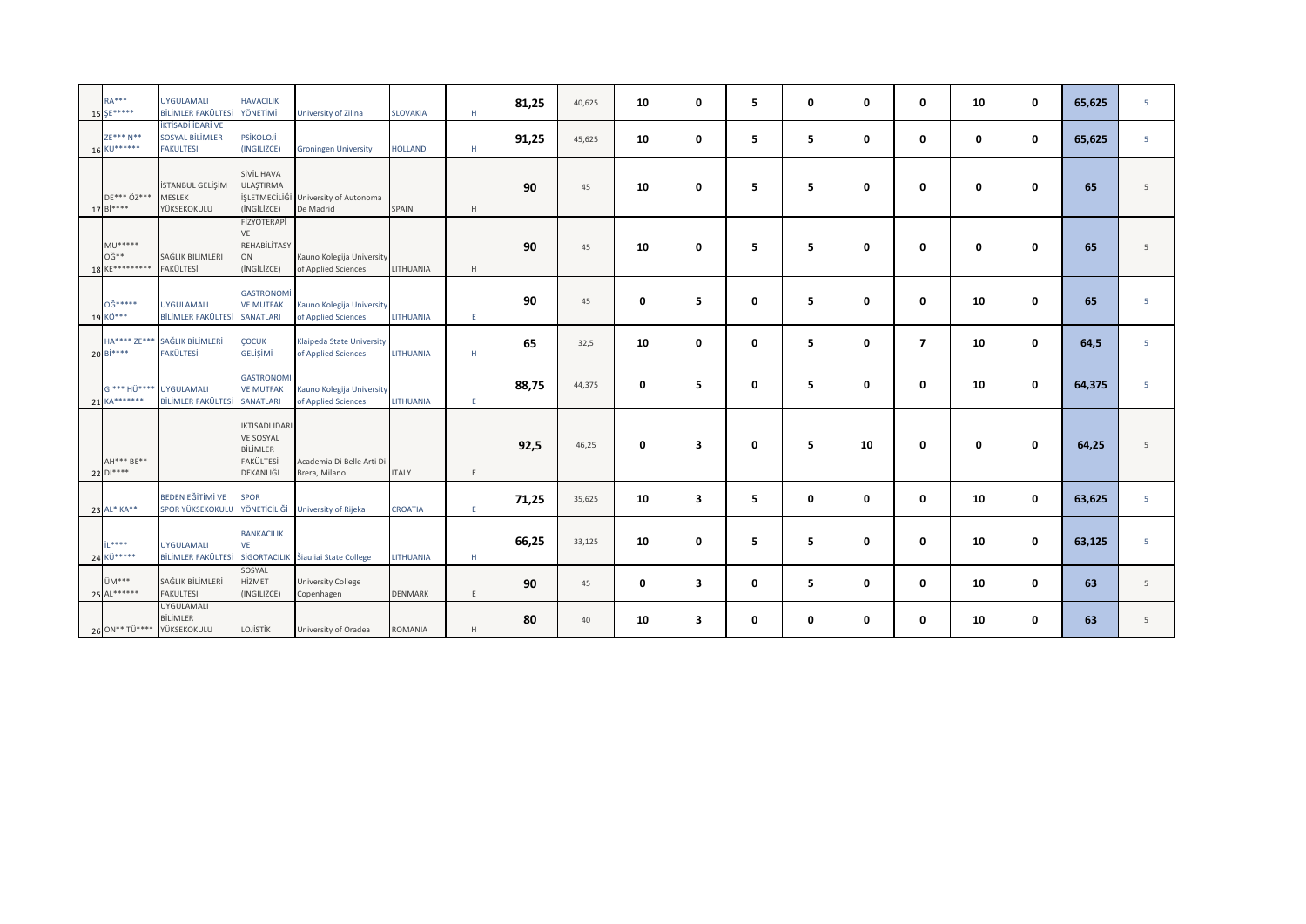| $RA***$<br>15 SE*****               | <b>UYGULAMALI</b><br><b>BİLİMLER FAKÜLTESİ</b>                  | <b>HAVACILIK</b><br>YÖNETİMİ                                             | University of Zilina                             | <b>SLOVAKIA</b> | $\mathsf H$ | 81,25 | 40,625 | 10          | $\mathbf 0$             | 5 | 0 | $\mathbf 0$ | $\mathbf 0$    | 10          | $\mathbf 0$ | 65,625 | 5 |
|-------------------------------------|-----------------------------------------------------------------|--------------------------------------------------------------------------|--------------------------------------------------|-----------------|-------------|-------|--------|-------------|-------------------------|---|---|-------------|----------------|-------------|-------------|--------|---|
| ZE*** N**<br>16 KU******            | İKTİSADİ İDARİ VE<br><b>SOSYAL BİLİMLER</b><br><b>FAKÜLTESİ</b> | PSİKOLOJİ<br>(INGILIZCE)                                                 | <b>Groningen University</b>                      | <b>HOLLAND</b>  | H           | 91,25 | 45,625 | 10          | $\mathbf 0$             | 5 | 5 | 0           | $\mathbf 0$    | 0           | 0           | 65,625 | 5 |
| DE*** ÖZ***<br>17 Bi****            | İSTANBUL GELİŞİM<br><b>MESLEK</b><br>YÜKSEKOKULU                | SİVİL HAVA<br>ULAŞTIRMA<br>İŞLETMECİLİĞİ<br>(INGILIZCE)                  | University of Autonoma<br>De Madrid              | SPAIN           | H           | 90    | 45     | 10          | 0                       | 5 | 5 | 0           | 0              | 0           | 0           | 65     | 5 |
| $MU*****$<br>0Ğ**<br>18 KE********* | SAĞLIK BİLİMLERİ<br>FAKÜLTESİ                                   | FİZYOTERAPİ<br>VE<br>REHABİLİTASY<br>ON<br>(INGILIZCE)                   | Kauno Kolegija University<br>of Applied Sciences | LITHUANIA       | H           | 90    | 45     | 10          | 0                       | 5 | 5 | 0           | 0              | 0           | 0           | 65     | 5 |
| 0Ğ*****<br>19 KÖ***                 | <b>UYGULAMALI</b><br><b>BİLİMLER FAKÜLTESİ</b>                  | <b>GASTRONOM</b><br><b>VE MUTFAK</b><br><b>SANATLARI</b>                 | Kauno Kolegija University<br>of Applied Sciences | LITHUANIA       | E           | 90    | 45     | 0           | 5                       | 0 | 5 | 0           | $\mathbf{0}$   | 10          | 0           | 65     | 5 |
| 20 Bi****                           | HA**** ZE*** SAĞLIK BİLİMLERİ<br><b>FAKÜLTESİ</b>               | ÇOCUK<br><b>GELISIMI</b>                                                 | Klaipeda State University<br>of Applied Sciences | LITHUANIA       | H           | 65    | 32,5   | 10          | 0                       | 0 | 5 | 0           | $\overline{7}$ | 10          | 0           | 64,5   | 5 |
| 21 KA*******                        | Gİ*** HÜ**** UYGULAMALI<br>BİLİMLER FAKÜLTESİ                   | <b>GASTRONOM</b><br><b>VE MUTFAK</b><br><b>SANATLARI</b>                 | Kauno Kolegija University<br>of Applied Sciences | LITHUANIA       | E.          | 88,75 | 44,375 | 0           | 5                       | 0 | 5 | 0           | 0              | 10          | 0           | 64,375 | 5 |
| AH*** BE**<br>22 Di****             |                                                                 | İKTİSADİ İDARİ<br><b>VE SOSYAL</b><br>BİLİMLER<br>FAKÜLTESİ<br>DEKANLIĞI | Academia Di Belle Arti Di<br>Brera, Milano       | <b>ITALY</b>    | E           | 92,5  | 46,25  | $\mathbf 0$ | $\overline{\mathbf{3}}$ | 0 | 5 | 10          | $\mathbf{0}$   | $\mathbf 0$ | $\mathbf 0$ | 64,25  | 5 |
| 23 AL* KA**                         | <b>BEDEN EĞİTİMİ VE</b><br>SPOR YÜKSEKOKULU                     | <b>SPOR</b><br>YÖNETİCİLİĞİ                                              | University of Rijeka                             | CROATIA         | E           | 71,25 | 35,625 | 10          | 3                       | 5 | 0 | 0           | $\mathbf 0$    | 10          | $\mathbf 0$ | 63,625 | 5 |
| i <sub>1</sub> ****<br>24 KÜ*****   | <b>UYGULAMALI</b><br>BİLİMLER FAKÜLTESİ                         | <b>BANKACILIK</b><br>VE.<br><b>SİGORTACILIK</b>                          | Šiauliai State College                           | LITHUANIA       | $\mathsf H$ | 66,25 | 33,125 | 10          | 0                       | 5 | 5 | 0           | 0              | 10          | 0           | 63,125 | 5 |
| ÜM***<br>25 AL******                | SAĞLIK BİLİMLERİ<br>FAKÜLTESİ                                   | SOSYAL<br>HİZMET<br>(INGILIZCE)                                          | <b>University College</b><br>Copenhagen          | <b>DENMARK</b>  | E           | 90    | 45     | 0           | 3                       | 0 | 5 | 0           | 0              | 10          | 0           | 63     | 5 |
|                                     | UYGULAMALI<br><b>BİLİMLER</b><br>26 ON** TÜ**** YÜKSEKOKULU     | LOJİSTİK                                                                 | University of Oradea                             | <b>ROMANIA</b>  | $\mathsf H$ | 80    | 40     | 10          | 3                       | 0 | 0 | 0           | 0              | 10          | 0           | 63     | 5 |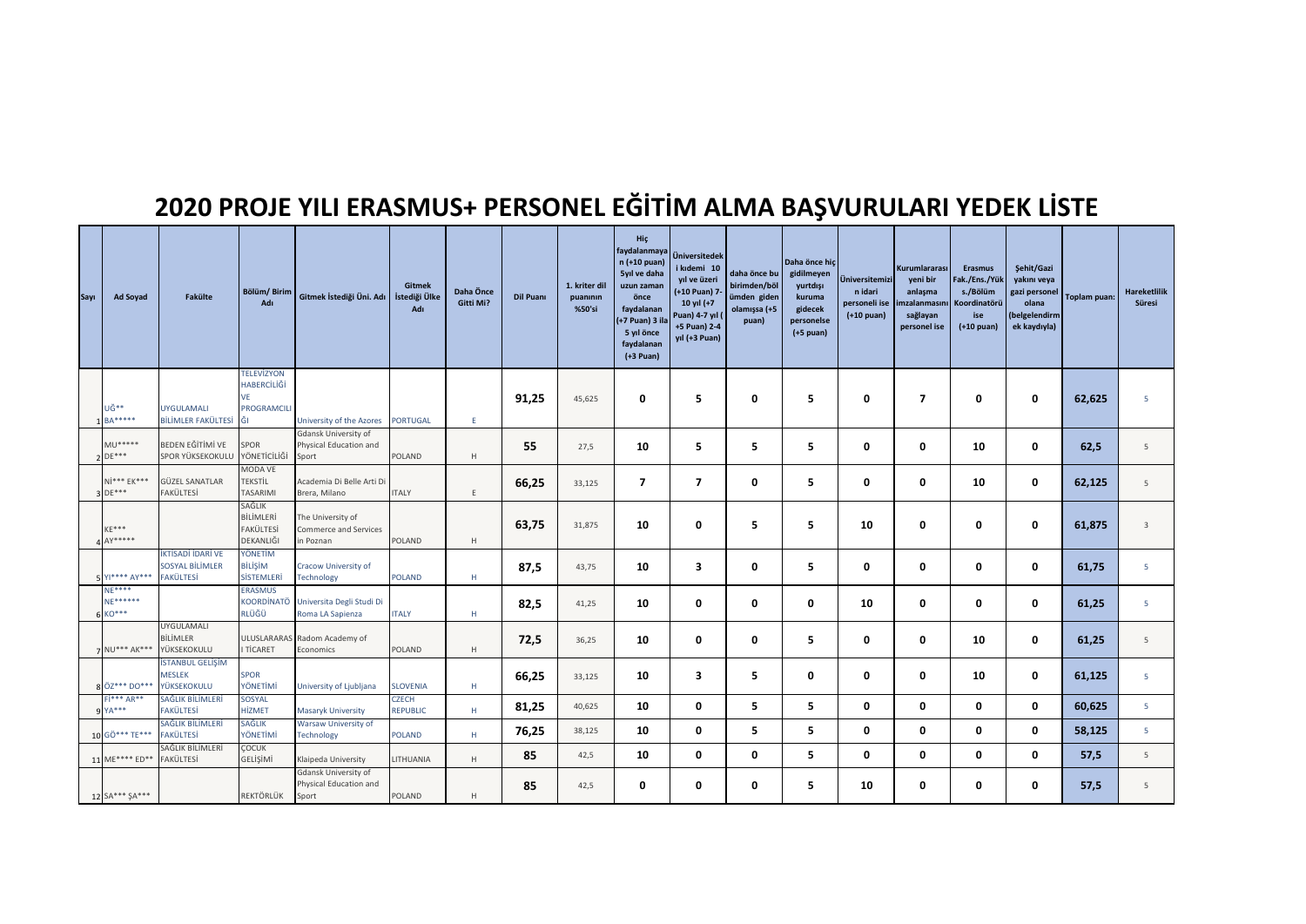## **2020 PROJE YILI ERASMUS+ PERSONEL EĞİTİM ALMA BAŞVURULARI YEDEK LİSTE**

| Sayı | <b>Ad Soyad</b>                        | Fakülte                                                         | Bölüm/Birim<br>Adı                                          | Gitmek İstediği Üni. Adı   İstediği Ülke                | Gitmek<br>Adı                   | Daha Önce<br>Gitti Mi? | <b>Dil Puanı</b> | 1. kriter dil<br>puaninin<br>%50'si | Hiç<br>faydalanmaya<br>n (+10 puan)<br>5yıl ve daha<br>uzun zaman<br>önce<br>faydalanan<br>(+7 Puan) 3 il<br>5 yıl önce<br>faydalanan<br>$(+3$ Puan) | Üniversitedek<br>i kıdemi 10<br>yıl ve üzeri<br>(+10 Puan) 7-<br>10 yıl (+7<br>Puan) 4-7 yıl (<br>+5 Puan) 2-4<br>yıl (+3 Puan) | daha önce bu<br>birimden/böl<br>ümden giden<br>olamışsa (+5<br>puan) | Daha önce hiç<br>gidilmeyen<br>yurtdışı<br>kuruma<br>gidecek<br>personelse<br>$(+5$ puan) | <b>Üniversitemizi</b><br>n idari<br>personeli ise<br>$(+10$ puan) | Kurumlararası<br>yeni bir<br>anlaşma<br>imzalanmasını<br>sağlayan<br>personel ise | <b>Erasmus</b><br>Fak./Ens./Yük<br>s./Bölüm<br>Koordinatörü<br>ise<br>$(+10$ puan) | Şehit/Gazi<br>yakını veya<br>gazi personel<br>olana<br>belgelendirm<br>ek kaydıyla) | Toplam puan: | <b>Hareketlilik</b><br>Süresi |
|------|----------------------------------------|-----------------------------------------------------------------|-------------------------------------------------------------|---------------------------------------------------------|---------------------------------|------------------------|------------------|-------------------------------------|------------------------------------------------------------------------------------------------------------------------------------------------------|---------------------------------------------------------------------------------------------------------------------------------|----------------------------------------------------------------------|-------------------------------------------------------------------------------------------|-------------------------------------------------------------------|-----------------------------------------------------------------------------------|------------------------------------------------------------------------------------|-------------------------------------------------------------------------------------|--------------|-------------------------------|
|      | UĞ**<br><b>BA*****</b>                 | <b>UYGULAMALI</b><br>BİLİMLER FAKÜLTESİ                         | <b>TELEVÍZYON</b><br>HABERCİLİĞİ<br>VE<br>PROGRAMCILI<br>Ğ١ | University of the Azores                                | <b>PORTUGAL</b>                 | E.                     | 91,25            | 45,625                              | 0                                                                                                                                                    | 5                                                                                                                               | 0                                                                    | 5                                                                                         | $\mathbf 0$                                                       | $\overline{7}$                                                                    | 0                                                                                  | 0                                                                                   | 62,625       | 5                             |
|      | MU*****<br>$DE***$                     | BEDEN EĞİTİMİ VE<br>SPOR YÜKSEKOKULU                            | SPOR<br>YÖNETİCİLİĞİ                                        | Gdansk University of<br>Physical Education and<br>Sport | POLAND                          | H                      | 55               | 27,5                                | 10                                                                                                                                                   | 5.                                                                                                                              | 5                                                                    | 5                                                                                         | 0                                                                 | $\mathbf 0$                                                                       | 10                                                                                 | 0                                                                                   | 62,5         | 5                             |
|      | $Ni*** EK***$<br>$DE***$               | <b>GÜZEL SANATLAR</b><br>FAKÜLTESİ                              | MODA VE<br><b>TEKSTİL</b><br>TASARIMI                       | Academia Di Belle Arti Di<br>Brera, Milano              | <b>ITALY</b>                    | E                      | 66,25            | 33,125                              | $\overline{\mathbf{z}}$                                                                                                                              | $\overline{\phantom{a}}$                                                                                                        | 0                                                                    | 5                                                                                         | 0                                                                 | 0                                                                                 | 10                                                                                 | 0                                                                                   | 62,125       | 5                             |
|      | $KF***$<br>$AY*****$                   |                                                                 | SAĞLIK<br>BİLİMLERİ<br>FAKÜLTESİ<br>DEKANLIĞI               | The University of<br>Commerce and Services<br>n Poznan  | POLAND                          | H                      | 63,75            | 31,875                              | 10                                                                                                                                                   | 0                                                                                                                               | 5                                                                    | 5                                                                                         | 10                                                                | 0                                                                                 | 0                                                                                  | 0                                                                                   | 61,875       | $\overline{3}$                |
|      | 5 Y **** A Y***                        | İKTİSADİ İDARİ VE<br><b>SOSYAL BİLİMLER</b><br><b>FAKÜLTESİ</b> | YÖNETİM<br>BİLİŞİM<br><b>SİSTEMLERİ</b>                     | Cracow University of<br>Technology                      | <b>POLAND</b>                   | Н.                     | 87,5             | 43,75                               | 10                                                                                                                                                   | 3                                                                                                                               | 0                                                                    | 5                                                                                         | 0                                                                 | 0                                                                                 | 0                                                                                  | 0                                                                                   | 61,75        | 5                             |
|      | <b>NE****</b><br>NF******<br>$6 K0***$ |                                                                 | <b>ERASMUS</b><br>KOORDİNATÖ<br>RLÜĞÜ                       | Universita Degli Studi Di<br>Roma LA Sapienza           | <b>ITALY</b>                    | Н.                     | 82,5             | 41,25                               | 10                                                                                                                                                   | 0                                                                                                                               | 0                                                                    | 0                                                                                         | 10                                                                | 0                                                                                 | 0                                                                                  | 0                                                                                   | 61,25        | 5                             |
|      | NU*** AK***                            | UYGULAMALI<br>BİLİMLER<br>YÜKSEKOKULU                           | <b>ULUSLARARAS</b><br><b>TİCARET</b>                        | Radom Academy of<br>Economics                           | POLAND                          | H                      | 72,5             | 36,25                               | 10                                                                                                                                                   | 0                                                                                                                               | 0                                                                    | 5                                                                                         | $\mathbf 0$                                                       | 0                                                                                 | 10                                                                                 | 0                                                                                   | 61,25        | 5                             |
|      | 8 ÖZ*** DO***                          | <b>İSTANBUL GELİŞİM</b><br><b>MESLEK</b><br>YÜKSEKOKULU         | <b>SPOR</b><br>YÖNETİMİ                                     | University of Ljubljana                                 | <b>SLOVENIA</b>                 | н.                     | 66,25            | 33,125                              | 10                                                                                                                                                   | 3                                                                                                                               | 5                                                                    | 0                                                                                         | 0                                                                 | 0                                                                                 | 10                                                                                 | 0                                                                                   | 61,125       | 5                             |
|      | $Fi*** AR**$<br>$YA***$                | SAĞLIK BİLİMLER<br>FAKÜLTESİ                                    | SOSYAL<br>HİZMET                                            | <b>Masaryk University</b>                               | <b>CZECH</b><br><b>REPUBLIC</b> | Н.                     | 81,25            | 40,625                              | 10                                                                                                                                                   | 0                                                                                                                               | 5                                                                    | 5                                                                                         | $\mathbf 0$                                                       | 0                                                                                 | 0                                                                                  | 0                                                                                   | 60,625       | 5                             |
|      | 10 GÖ*** TE***                         | SAĞLIK BİLİMLER<br><b>FAKÜLTESİ</b>                             | SAĞLIK<br>YÖNETİMİ                                          | Warsaw University of<br><b>Technology</b>               | <b>POLAND</b>                   | Н.                     | 76,25            | 38,125                              | 10                                                                                                                                                   | 0                                                                                                                               | 5                                                                    | 5                                                                                         | $\mathbf 0$                                                       | 0                                                                                 | 0                                                                                  | 0                                                                                   | 58,125       | 5                             |
|      | 11 ME**** ED**                         | SAĞLIK BİLİMLERİ<br>FAKÜLTESİ                                   | ÇOCUK<br>GELİŞİMİ                                           | Klaipeda University                                     | LITHUANIA                       | H                      | 85               | 42,5                                | 10                                                                                                                                                   | 0                                                                                                                               | 0                                                                    | 5                                                                                         | 0                                                                 | 0                                                                                 | 0                                                                                  | 0                                                                                   | 57,5         | 5                             |
|      | 12 SA*** \$A***                        |                                                                 | REKTÖRLÜK                                                   | Gdansk University of<br>Physical Education and<br>Sport | POLAND                          | H                      | 85               | 42,5                                | 0                                                                                                                                                    | 0                                                                                                                               | 0                                                                    | 5.                                                                                        | 10                                                                | 0                                                                                 | 0                                                                                  | 0                                                                                   | 57,5         | 5                             |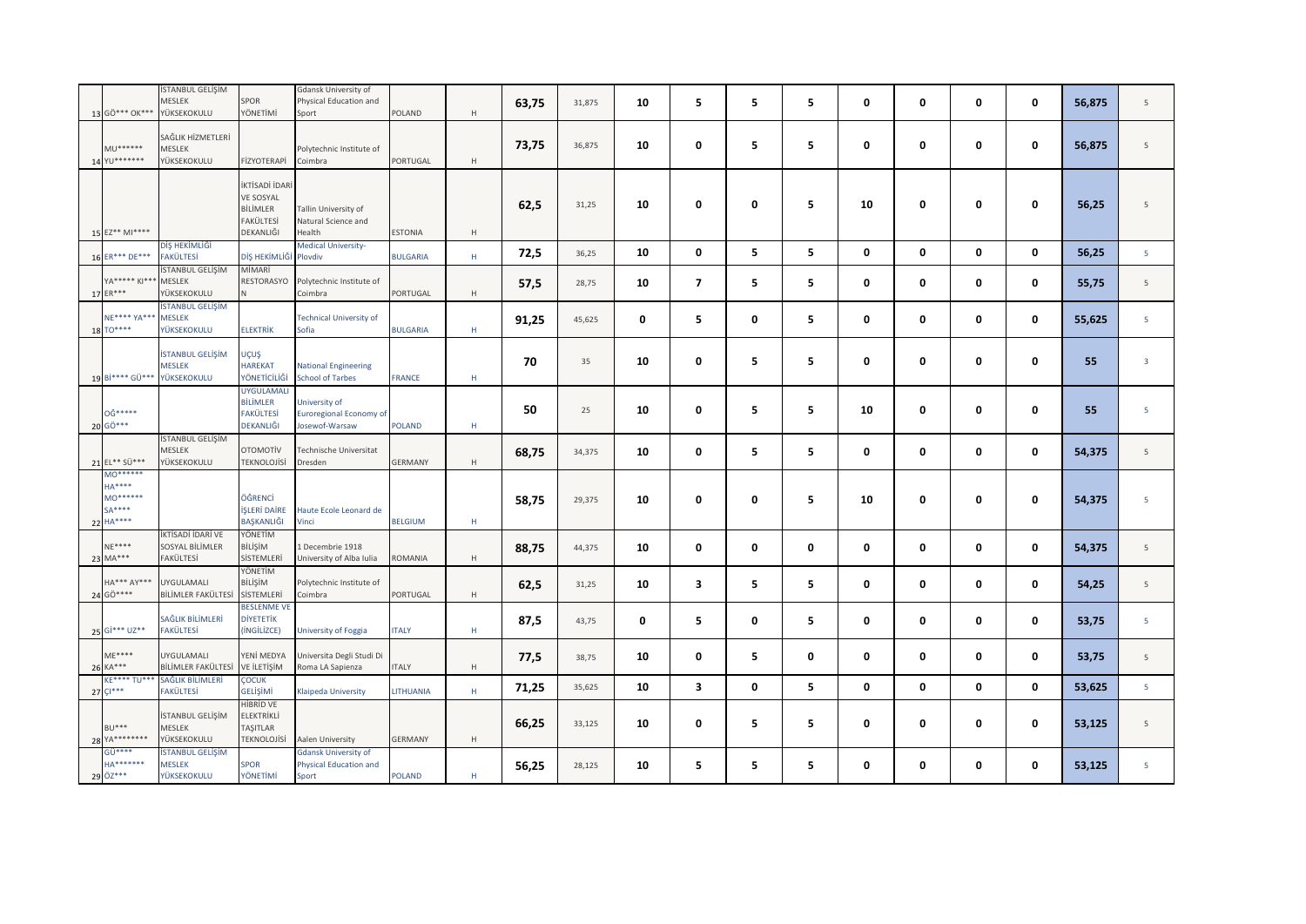| 13 GÖ*** OK***                                          | STANBUL GELİŞİM<br>MESLEK<br>YÜKSEKOKULU         | SPOR<br>YÖNETİMİ                                                         | Gdansk University of<br>Physical Education and<br>Sport               | POLAND          | $\mathsf H$ | 63,75 | 31,875 | 10 | 5                       | 5           | 5 | 0  | 0           | 0           | 0 | 56,875 | 5                       |
|---------------------------------------------------------|--------------------------------------------------|--------------------------------------------------------------------------|-----------------------------------------------------------------------|-----------------|-------------|-------|--------|----|-------------------------|-------------|---|----|-------------|-------------|---|--------|-------------------------|
| $MU******$<br>14 YU*******                              | SAĞLIK HİZMETLERİ<br>MESLEK<br>YÜKSEKOKULU       | FİZYOTERAPİ                                                              | Polytechnic Institute of<br>Coimbra                                   | PORTUGAL        | H           | 73,75 | 36,875 | 10 | $\mathbf 0$             | 5           | 5 | 0  | 0           | 0           | 0 | 56,875 | 5                       |
| 15 EZ** MI****                                          |                                                  | İKTİSADİ İDARİ<br><b>VE SOSYAL</b><br>BİLİMLER<br>FAKÜLTESİ<br>DEKANLIĞI | Tallin University of<br>Natural Science and<br>Health                 | <b>ESTONIA</b>  | H           | 62,5  | 31,25  | 10 | $\mathbf 0$             | $\mathbf 0$ | 5 | 10 | 0           | $\mathbf 0$ | 0 | 56,25  | 5                       |
| 16 ER*** DE***                                          | DİŞ HEKİMLİĞİ<br><b>FAKÜLTESİ</b>                | DİŞ HEKİMLİĞİ Plovdiv                                                    | <b>Medical University-</b>                                            | <b>BULGARIA</b> | $\mathsf H$ | 72,5  | 36,25  | 10 | $\mathbf 0$             | 5           | 5 | 0  | $\mathbf 0$ | $\mathbf 0$ | 0 | 56,25  | 5                       |
| YA***** KI***<br>17 ER***                               | İSTANBUL GELİŞİM<br>MESLEK<br>YÜKSEKOKULU        | MİMARİ<br>RESTORASYO<br>$\mathsf{N}$                                     | Polytechnic Institute of<br>Coimbra                                   | PORTUGAL        | $\mathsf H$ | 57,5  | 28,75  | 10 | $\overline{\mathbf{z}}$ | 5           | 5 | 0  | 0           | 0           | 0 | 55,75  | 5                       |
| NE**** YA***<br>18 TO*****                              | İSTANBUL GELİŞİM<br><b>MESLEK</b><br>YÜKSEKOKULU | <b>ELEKTRİK</b>                                                          | <b>Technical University of</b><br>Sofia                               | <b>BULGARIA</b> | $\mathsf H$ | 91,25 | 45,625 | 0  | 5                       | $\mathbf 0$ | 5 | 0  | 0           | $\mathbf 0$ | 0 | 55,625 | 5                       |
| 19 Bi**** GÜ***                                         | <b>İSTANBUL GELİŞİM</b><br>MESLEK<br>YÜKSEKOKULU | UÇUŞ<br><b>HAREKAT</b><br>YÖNETİCİLİĞİ                                   | <b>National Engineering</b><br><b>School of Tarbes</b>                | <b>FRANCE</b>   | H           | 70    | 35     | 10 | $\mathbf 0$             | 5           | 5 | 0  | $\mathbf 0$ | $\mathbf 0$ | 0 | 55     | $\overline{\mathbf{3}}$ |
| 0Ğ*****<br>20 GÖ***                                     |                                                  | <b>UYGULAMALI</b><br><b>BİLİMLER</b><br><b>FAKÜLTESİ</b><br>DEKANLIĞI    | University of<br><b>Euroregional Economy of</b><br>Josewof-Warsaw     | <b>POLAND</b>   | $\mathsf H$ | 50    | 25     | 10 | 0                       | 5           | 5 | 10 | 0           | $\mathbf 0$ | 0 | 55     | 5                       |
| 21 EL** SÜ***                                           | İSTANBUL GELİŞİM<br>MESLEK<br>YÜKSEKOKULU        | <b>OTOMOTİV</b><br><b>TEKNOLOJİSİ</b>                                    | echnische Universitat<br>Dresden                                      | <b>GERMANY</b>  | $\mathsf H$ | 68,75 | 34,375 | 10 | $\mathbf 0$             | 5           | 5 | 0  | 0           | $\mathbf 0$ | 0 | 54,375 | 5                       |
| MO******<br>$HA***$<br>MO******<br>$SA***$<br>22 HA**** |                                                  | ÖĞRENCİ<br><b>İŞLERİ DAİRE</b><br>BAŞKANLIĞI                             | Haute Ecole Leonard de<br>Vinci                                       | <b>BELGIUM</b>  | $\mathsf H$ | 58,75 | 29,375 | 10 | $\mathbf 0$             | 0           | 5 | 10 | 0           | 0           | 0 | 54,375 | 5                       |
| $NE***$<br>23 MA***                                     | KTİSADİ İDARİ VE<br>SOSYAL BİLİMLER<br>FAKÜLTESİ | YÖNETİM<br>BİLİŞİM<br>SİSTEMLERİ                                         | 1 Decembrie 1918<br>University of Alba Iulia                          | ROMANIA         | $\mathsf H$ | 88,75 | 44,375 | 10 | $\mathbf 0$             | $\mathbf 0$ | 0 | 0  | 0           | $\mathbf 0$ | 0 | 54,375 | 5                       |
| HA*** AY***<br>24 GÖ****                                | UYGULAMALI<br>BİLİMLER FAKÜLTESİ                 | YÖNETİM<br>BİLİŞİM<br>SİSTEMLERİ                                         | Polytechnic Institute of<br>Coimbra                                   | PORTUGAL        | $\mathsf H$ | 62,5  | 31,25  | 10 | $\overline{\mathbf{3}}$ | 5           | 5 | 0  | $\mathbf 0$ | $\bf{0}$    | 0 | 54,25  | $5\overline{5}$         |
| 25 Gi*** UZ**                                           | SAĞLIK BİLİMLERİ<br><b>FAKÜLTESİ</b>             | <b>BESLENME VE</b><br><b>DİYETETİK</b><br>(INGILIZCE)                    | University of Foggia                                                  | <b>ITALY</b>    | H           | 87,5  | 43,75  | 0  | 5                       | 0           | 5 | 0  | 0           | $\mathbf 0$ | 0 | 53,75  | 5                       |
| $ME***$<br>26 KA***                                     | UYGULAMALI<br>BİLİMLER FAKÜLTESİ                 | YENİ MEDYA<br>VE İLETİŞİM                                                | Universita Degli Studi Di<br>Roma LA Sapienza                         | <b>ITALY</b>    | H           | 77,5  | 38,75  | 10 | $\bf{0}$                | 5           | 0 | 0  | 0           | $\mathbf 0$ | 0 | 53,75  | 5                       |
| KE**** TU***<br>$27 \frac{C1***}{}$                     | SAĞLIK BİLİMLERİ<br>FAKÜLTESİ                    | <b>ÇOCUK</b><br>GELİŞİMİ                                                 | Klaipeda University                                                   | LITHUANIA       | H           | 71,25 | 35,625 | 10 | $\overline{\mathbf{3}}$ | 0           | 5 | 0  | $\mathbf 0$ | $\mathbf 0$ | 0 | 53,625 | 5 <sup>1</sup>          |
| $BU***$<br>28 YA********                                | İSTANBUL GELİŞİM<br>MESLEK<br>YÜKSEKOKULU        | <b>HİBRİD VE</b><br>ELEKTRİKLİ<br>TAŞITLAR<br><b>TEKNOLOJİSİ</b>         | Aalen University                                                      | GERMANY         | $\mathsf H$ | 66,25 | 33,125 | 10 | $\mathbf 0$             | 5           | 5 | 0  | 0           | 0           | 0 | 53,125 | 5                       |
| $G\overline{U***}$<br><b>HA*******</b><br>29 ÖZ***      | <b>İSTANBUL GELİŞİM</b><br>MESLEK<br>YÜKSEKOKULU | <b>SPOR</b><br>YÖNETİMİ                                                  | <b>Gdansk University of</b><br><b>Physical Education and</b><br>Sport | <b>POLAND</b>   | $\mathsf H$ | 56,25 | 28,125 | 10 | 5                       | 5           | 5 | 0  | $\mathbf 0$ | $\mathbf 0$ | 0 | 53,125 | $\overline{5}$          |